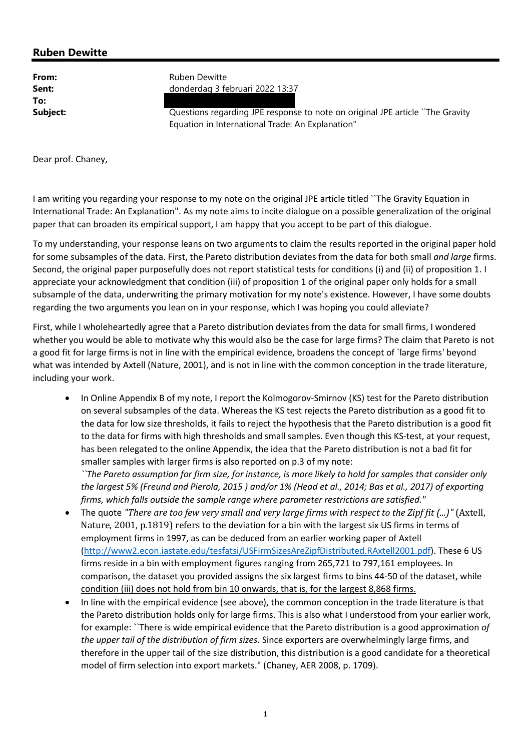## Ruben Dewitte

To:

From: Ruben Dewitte Sent: donderdag 3 februari 2022 13:37

**Subject:** Questions regarding JPE response to note on original JPE article `The Gravity Equation in International Trade: An Explanation"

Dear prof. Chaney,

I am writing you regarding your response to my note on the original JPE article titled ``The Gravity Equation in International Trade: An Explanation". As my note aims to incite dialogue on a possible generalization of the original paper that can broaden its empirical support, I am happy that you accept to be part of this dialogue.

To my understanding, your response leans on two arguments to claim the results reported in the original paper hold for some subsamples of the data. First, the Pareto distribution deviates from the data for both small and large firms. Second, the original paper purposefully does not report statistical tests for conditions (i) and (ii) of proposition 1. I appreciate your acknowledgment that condition (iii) of proposition 1 of the original paper only holds for a small subsample of the data, underwriting the primary motivation for my note's existence. However, I have some doubts regarding the two arguments you lean on in your response, which I was hoping you could alleviate?

First, while I wholeheartedly agree that a Pareto distribution deviates from the data for small firms, I wondered whether you would be able to motivate why this would also be the case for large firms? The claim that Pareto is not a good fit for large firms is not in line with the empirical evidence, broadens the concept of `large firms' beyond what was intended by Axtell (Nature, 2001), and is not in line with the common conception in the trade literature, including your work.

• In Online Appendix B of my note, I report the Kolmogorov-Smirnov (KS) test for the Pareto distribution on several subsamples of the data. Whereas the KS test rejects the Pareto distribution as a good fit to the data for low size thresholds, it fails to reject the hypothesis that the Pareto distribution is a good fit to the data for firms with high thresholds and small samples. Even though this KS-test, at your request, has been relegated to the online Appendix, the idea that the Pareto distribution is not a bad fit for smaller samples with larger firms is also reported on p.3 of my note:

``The Pareto assumption for firm size, for instance, is more likely to hold for samples that consider only the largest 5% (Freund and Pierola, 2015 ) and/or 1% (Head et al., 2014; Bas et al., 2017) of exporting firms, which falls outside the sample range where parameter restrictions are satisfied."

- The quote "There are too few very small and very large firms with respect to the Zipf fit (...)" (Axtell, Nature, 2001, p.1819) refers to the deviation for a bin with the largest six US firms in terms of employment firms in 1997, as can be deduced from an earlier working paper of Axtell (http://www2.econ.iastate.edu/tesfatsi/USFirmSizesAreZipfDistributed.RAxtell2001.pdf). These 6 US firms reside in a bin with employment figures ranging from 265,721 to 797,161 employees. In comparison, the dataset you provided assigns the six largest firms to bins 44-50 of the dataset, while condition (iii) does not hold from bin 10 onwards, that is, for the largest 8,868 firms.
- In line with the empirical evidence (see above), the common conception in the trade literature is that the Pareto distribution holds only for large firms. This is also what I understood from your earlier work, for example: 'There is wide empirical evidence that the Pareto distribution is a good approximation of the upper tail of the distribution of firm sizes. Since exporters are overwhelmingly large firms, and therefore in the upper tail of the size distribution, this distribution is a good candidate for a theoretical model of firm selection into export markets." (Chaney, AER 2008, p. 1709).